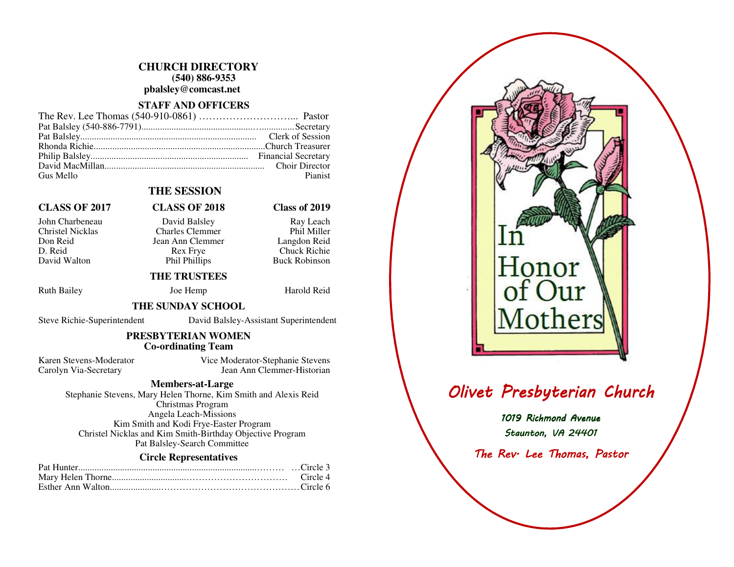### **CHURCH DIRECTORY (540) 886-9353 pbalsley@comcast.net**

### **STAFF AND OFFICERS**

| Gus Mello | Pianist |
|-----------|---------|

## **THE SESSION**

# **CLASS OF 2017 CLASS OF 2018 Class of 2019**

- John Charbeneau David Balsley Ray Leach
	-

Christel Nicklas Charles Clemmer Don Reid Jean Ann Clemmer<br>D. Reid Rex Frye D. Reid Rex Frye Chuck Richie David Walton Phil Phillips

## **THE TRUSTEES**

Ruth Bailey **Joe Hemp** Harold Reid

Phil Miller

Langdon Reid

**Buck Robinson** 

### **THE SUNDAY SCHOOL**

Steve Richie-Superintendent David Balsley-Assistant Superintendent

### **PRESBYTERIAN WOMEN Co-ordinating Team**

Karen Stevens-Moderator Vice Moderator-Stephanie Stevens Carolyn Via-Secretary Jean Ann Clemmer-Historian

### **Members-at-Large**

 Stephanie Stevens, Mary Helen Thorne, Kim Smith and Alexis Reid Christmas Program Angela Leach-Missions Kim Smith and Kodi Frye-Easter Program Christel Nicklas and Kim Smith-Birthday Objective Program Pat Balsley-Search Committee

### **Circle Representatives**

# onor Iothers

# Olivet Presbyterian Church

1019 Richmond Avenue Staunton, VA 24401

The Rev<sup>.</sup> Lee Thomas, Pastor